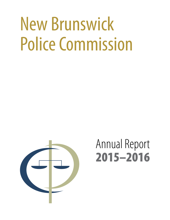# New Brunswick Police Commission



## Annual Report 2015–2016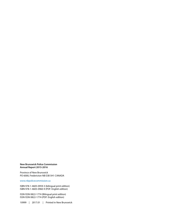#### **New Brunswick Police Commission Annual Report 2015-2016**

Province of New Brunswick PO 6000, Fredericton NB E3B 5H1 CANADA

[www.n](http://www.nbpolicecommission.ca)bpolicecommission.ca

ISBN 978-1-4605-0959-3 (bilingual print edition) ISBN 978-1-4605-0960-9 (PDF: English edition)

ISSN ISSN 0822-1774 (Bilingual print edition) ISSN ISSN 0822-1774 (PDF: English edition)

10999 | 2017.01 | Printed in New Brunswick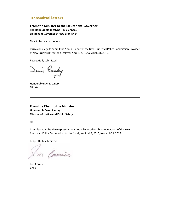#### Transmittal letters

#### **From the Minister to the Lieutenant-Governor The Honourable Jocelyne Roy Vienneau Lieutenant-Governor of New Brunswick**

May it please your Honour:

It is my privilege to submit the Annual Report of the New Brunswick Police Commission, Province of New Brunswick, for the fiscal year April 1, 2015, to March 31, 2016.

Respectfully submitted,

Senis Candy

Honourable Denis Landry Minister

#### **From the Chair to the Minister Honourable Denis Landry Minister of Justice and Public Safety**

Sir:

I am pleased to be able to present the Annual Report describing operations of the New Brunswick Police Commission for the fiscal year April 1, 2015, to March 31, 2016.

Respectfully submitted,

m Comin

Ron Cormier Chair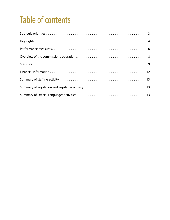### Table of contents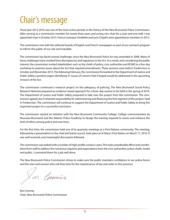### Chair's message

Fiscal year 2015-2016 was one of the most active periods in the history of the New Brunswick Police Commission. After serving as a commission member for nearly three years and acting vice-chair for a year-and-one-half, I was appointed chair in October 2015. France Levesque-Ouellette and Lynn Chaplin were appointed as members in 2015.

The commission met with the editorial boards of English and French newspapers as part of our outreach program to inform the public of our role and mandate.

The commission has faced several challenges since the New Brunswick *Police Act* was amended in 2008. Many of these challenges have resulted from discrepancies and vagueness in the Act. As a result, and considering the public interest, the commission invited stakeholders such as the chiefs of police, civic authorities and RCMP, to a five-day workshop to examine issues about the Act that required amendments. These sessions were held in Fredericton in October and November 2015. The following February, the commission forwarded to the Department of Justice and Public Safety a position paper identifying 31 issues of concern that it hoped would be addressed in the upcoming revision of the Act.

The commission continued a research project on the adequacy of policing. The New Brunswick Social Policy Research Network prepared an evidence-based approach for a three-day session to be held in the spring of 2016. The Department of Justice and Public Safety proposed to take over the project from the commission. The commission agreed, but it retained responsibility for administering and financing the first segment of the project, held in Fredericton. The commission will continue to support the Department of Justice and Public Safety to bring this important project to a successful conclusion.

The commission started an initiative with the New Brunswick Community College, Collège communautaire du Nouveau-Brunswick and the Atlantic Police Academy to design the training required to assess and enhance the level of ethics among police and new hires.

For the first time, the commission held one of its quarterly meetings at a First Nations community. The meeting, followed by a presentation to the chief and band council, took place at St Mary's First Nation on March 17, 2016. It was well received, and meaningful discussions followed.

The commission was tasked with a number of high-profile conduct cases. This took considerable effort and coordination from staff to address the numerous inquiries and expectations from the civic authorities, police chiefs, media and public. I commend them for a job well done.

The New Brunswick Police Commission strives to make sure the public maintains confidence in our police forces and the men and women who risk their lives for the maintenance of law and order in this province.

m Comier

Ron Cormier Chair, New Brunswick Police Commission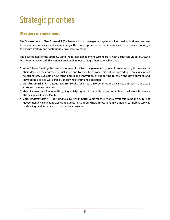### <span id="page-5-0"></span>Strategic priorities

#### Strategy management

The **Government of New Brunswick** (GNB) uses a formal management system built on leading business practices to develop, communicate and review strategy. This process provides the public service with a proven methodology to execute strategy and continuously drive improvement.

The development of the strategy, using the formal management system, starts with a strategic vision of *Moving New Brunswick Forward*. This vision is anchored in four strategic themes which include:

- **1.** *More jobs* Creating the best environment for jobs to be generated by New Brunswickers, by businesses, by their ideas, by their entrepreneurial spirit, and by their hard work. This includes providing seamless support to businesses, leveraging new technologies and innovation by supporting research and development, and developing a skilled workforce by improving literacy and education.
- **2.** *Fiscal responsibility* Getting New Brunswick's fiscal house in order through a balanced approach to decrease costs and increase revenues.
- **3.** *Best place to raise a family* Designing social programs to make life more affordable and make New Brunswick the best place to raise family.
- **4.** *Smarter government* Providing taxpayers with better value for their money by transforming the culture of government by eliminating waste and duplication, adopting new innovations in technology to improve services and savings and improving accountability measures.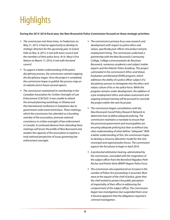### <span id="page-6-0"></span>**Highlights**

#### **During the 2015-2016 fiscal year, the New Brunswick Police Commission focused on these strategic priorities:**

- *The commission met three times. In Fredericton on May 21, 2015, it had an opportunity to develop its strategic direction for the upcoming year. In Grand Falls on Nov. 9, 2015, it met with town council and the members of their police force. At St. Mary's First Nation on March 17, 2016, it met with the band council.*
- *To support a better understanding of the police disciplinary process, the commission started mapping the disciplinary stages. Once the project is completed, the commission hopes to publish the process map on its website and in future annual reports.*
- *The commission maintained its membership in the Canadian Association for Civilian Oversight of Law Enforcement (CACOLE). It was unable to attend the annual planning workshops in Ottawa and the international conference in Saskatoon due to government-wide travel restrictions. These meetings, which the commission has attended as a founding member of the association, promote national consistency in civilian oversight of law enforcement in Canada. A continued absence from attending these meetings will lessen the profile of New Brunswick and weaken the capacity of the association to explore a truly national perspective of issues governing law enforcement oversight.*
- *The commission's primary focus was research and development with respect to police ethics and values, specifically post-officer misconduct and preemployment hiring. The commission undertook a partnership with the New Brunswick Community College, Collège communautaire du Nouveau-Brunswick, numerous academics and subject matter experts and the Atlantic Police Academy. This project culminated in the commission's Ethics and Values Evaluation and Renewal (EVER) program, which addresses the ability of a police officer subject of a disciplinary process to reintegrate into the ethics and values culture of his or her police force. While the program remains under development, the addition of a pre-employment ethics and values assessment and ongoing renewal training will be pursued to conclude the project within the next fiscal year.*
- *The commission began consultations with the New Brunswick Social Policy Research Network to determine how to define adequate policing. The commission maintains a mandate to ensure that the provincial government and municipalities are ensuring adequate policing but does so without any clear understanding of what defines "adequate." With a better understanding of this, the commission hopes to develop a resource allocation model for the nine municipal and regional police forces. The commission expects the first phase to begin in April 2016.*
- *A protracted arbitration hearing, administered by the commission, concluded with the resignation of the subject officer from the Beresford-Nigadoo-Petit-Rocher and Pointe-Verte (BNPP) Region Police Force.*
- *The commission also experienced an increase in the number of* Police Act *proceedings it assumed. Most were at the request of the chief of police, given that the chief wished to protect the public perception of impartiality of their office in addressing the comportment of the subject officer. The commission began two investigations but suspended them once it became apparent that the allegations required a criminal investigation.*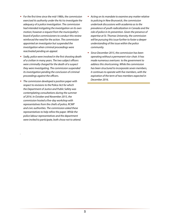- *For the first time since the mid-1980s, the commission exercised its authority under the Act to investigate the adequacy of a police investigation. The commission had intended instigating the investigation on its own motion; however a request from the municipality's board of police commissioners to conduct this review reinforced the need for the action. The commission appointed an investigator but suspended the investigation when criminal proceedings were reactivated pending an appeal.*
- *Sadly, police were involved in the first shooting death of a civilian in many years. The two subject officers were criminally charged for the death of a suspect they were investigating. The commission suspended its investigation pending the conclusion of criminal proceedings against the officers.*
- *The commission developed a position paper with respect to revisions to the* Police Act *for which the Department of Justice and Public Safety was contemplating consultations during the summer of 2016. In October and November 2015, the commission hosted a five-day workshop with representatives from the chiefs of police, RCMP and civic authorities. The commission asked these representatives to help refine the paper. While the police labour representatives and the department were invited to participate, both chose not to attend.*

.

- *Acting on its mandate to examine any matter relative to policing in New Brunswick, the commission undertook discussions with academia as to the prevalence of youth radicalization in Canada and the role of police in its prevention. Given the presence of expertise at St. Thomas University, the commission will be pursuing this issue further to foster a deeper understanding of the issue within the police community.*
- *Since December 2015, the commission has been operating without a permanent vice-chair. It has made numerous overtures to the government to address this shortcoming. While the commission has been structured to incorporate seven members, it continues to operate with five members, with the expiration of the term of two members expected in December 2016.*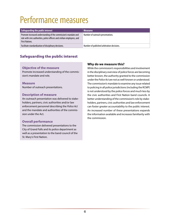### <span id="page-8-0"></span>Performance measures

| Safeguarding the public interest                                                                                                                                     | <b>Measures</b>                            |
|----------------------------------------------------------------------------------------------------------------------------------------------------------------------|--------------------------------------------|
| Promote increased understanding of the commission's mandate and<br>role with civic authorities, police officers and civilian employees, and<br><b>First Nations.</b> | Number of outreach presentations.          |
| Facilitate standardization of disciplinary decisions.                                                                                                                | Number of published arbitration decisions. |

#### Safeguarding the public interest

#### **Objective of the measure**

Promote increased understanding of the commission's mandate and role.

**Measure** Number of outreach presentations.

#### **Description of measure**

An outreach presentation was delivered to stakeholders, partners, civic authorities and/or law enforcement personnel describing the *Police Act* and the mandate and authorities of the commission under the Act.

#### **Overall performance**

The commission delivered presentations to the City of Grand Falls and its police department as well as a presentation to the band council of the St. Mary's First Nation.

#### **Why do we measure this?**

While the commission's responsibilities and involvement in the disciplinary overview of police forces are becoming better known, the authority granted to the commission under the *Police Act* are not as well-known or understood. The commission's mandate to examine any issue related to policing in all police jurisdictions (including the RCMP) is not understood by the police forces and much less by the civic authorities and First Nation band councils. A better understanding of the commission's role by stakeholders, partners, civic authorities and law enforcement can foster greater accountability to the public interest. An increased number of these presentations expands the information available and increases familiarity with the commission.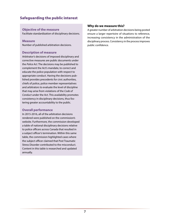#### Safeguarding the public interest

#### **Objective of the measure**

Facilitate standardization of disciplinary decisions.

#### **Measure**

Number of published arbitration decisions.

#### **Description of measure**

Arbitrator's decisions of imposed disciplinary and corrective measures are public documents under the *Police Act*. The decisions may be published to complement the Act's mandate, to correct and educate the police population with respect to appropriate conduct. Having the decisions published provides precedents for civic authorities, chiefs of police, police member representatives and arbitrators to evaluate the level of discipline that may arise from violations of the *Code of Conduct* under the Act. This availability promotes consistency in disciplinary decisions, thus fostering greater accountability to the public.

#### **Overall performance**

In 2015-2016, all of the arbitration decisions rendered were published on the commission's website. Furthermore, the commission developed a table of national disciplinary decisions relative to police officers across Canada that resulted in a subject officer's termination. Within this same table, the commission highlighted cases where the subject officer claimed that Post Traumatic Stress Disorder contributed to the misconduct. Content in this table is researched and updated annually.

#### **Why do we measure this?**

A greater number of arbitration decisions being posted ensure a larger repertoire of situations to reference, increasing consistency in the administration of the disciplinary process. Consistency in the process improves public confidence.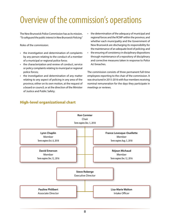### <span id="page-10-0"></span>Overview of the commission's operations

The New Brunswick Police Commission has as its mission, "*To safeguard the public interest in New Brunswick Policing*."

Roles of the commission:

- the investigation and determination of complaints by any person relating to the conduct of a member of a municipal or regional police force;
- the characterization and review of conduct, service or policy complaints relating to municipal or regional police forces;
- the investigation and determination of any matter relating to any aspect of policing in any area of the province, either on its own motion, at the request of a board or council, or at the direction of the Minister of Justice and Public Safety;
- the determination of the adequacy of municipal and regional forces and the RCMP within the province, and whether each municipality and the Government of New Brunswick are discharging its responsibility for the maintenance of an adequate level of policing; and
- the ensuring of consistency in disciplinary dispositions through maintenance of a repository of disciplinary and corrective measures taken in response to *Police Act* breaches.

The commission consists of three permanent full-time employees reporting to the chair of the commission. It was structured in 2015-2016 with four members receiving nominal remuneration for the days they participate in meetings or reviews.



#### High-level organizational chart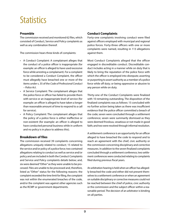### <span id="page-11-0"></span>**Statistics**

#### **Preamble**

The commission received and monitored 62 files, which consisted of Conduct, Service and Policy complaints as well as any combination thereof.

The commission hears three kinds of complaints:

- A Conduct Complaint: A complainant alleges that the conduct of a police officer is inappropriate (for example: an officer is alleged to have used excessive force while arresting a complainant). For a complaint to be considered a Conduct Complaint, the officer must allegedly have breached one or more of the items under s. 35 of the *Code of Professional Conduct – Police Act*.
- A Service Complaint: The complainant alleges that the police force or officer has failed to provide them with service or an inappropriate level of service (for example: an officer is alleged to have taken a longer than reasonable amount of time to respond to a call for service).
- A Policy Complaint: The complainant alleges that the policy of a police force is either ineffective or non-existent (for example: an officer is alleged to have conducted personal business while in uniform and no policy is in place to address this).

#### **Breakdown of files**

The commission received 39 complaints concerning allegations uniquely related to conduct; 15 related to the service and/or policy of a police force; two contained allegations relating to conduct as well as service and/or policy and are included in both the Conduct Complaints and Service and Policy complaints details below; and, six were deemed "Other" as they were unable to be processed. Files are unable to be processed and, therefore, listed as "Other" status for the following reasons: the complaint exceeded the time limit for filing, the complaint was not within the enumerated breaches of the code, and/or the complaint was against other agencies such as the RCMP or government departments.

#### **Conduct Complaints**

Forty-one complaints involving conduct were filed against officers employed with municipal and regional police forces. Forty-three officers with one or more complaints were named, resulting in 113 allegations against them.

Most Conduct Complaints alleged that the officer engaged in discreditable conduct. Discreditable conduct includes acting in a manner while on duty that is likely to bring the reputation of the police force with which the officer is employed into disrepute; asserting or purporting to assert authority as a member of a police force while off duty; or being oppressive or abusive to any person while on duty.

Thirty-one of the Conduct Complaints were finalized with 10 remaining outstanding. The disposition of the finalized complaints was as follows: 15 concluded with no further action being taken as there was insufficient evidence that the police officer committed a breach of the code; seven were concluded through a settlement conference; seven were summarily dismissed as they were deemed frivolous, vexatious or not made in good faith; and two were resolved through informal resolution.

A settlement conference is an opportunity for an officer alleged to have breached the code to respond and to reach an agreement with the chief, civic authority or the commission concerning disciplinary and corrective measures. In addition to the seven finalized complaints concluded through a settlement conference, two settlement conferences were conducted relating to complaints filed during previous fiscal years.

An arbitration hearing is held when an officer has allegedly breached the code and either did not present themselves to a settlement conference or when an agreement on suitable disciplinary or corrective measures could not be reached between the chief of police, civic authority or the commission and the subject officer within a reasonable period. The decision of an arbitrator is binding on all parties.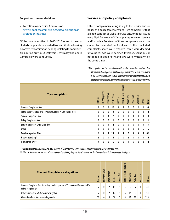For past and present decisions:

• New Brunswick Police Commission: [www.nbpolicecommission.ca/site/en/decisions/](http://www.nbpolicecommission.ca/site/en/decisions/arbitration-hearings) [arbitration-hearings](http://www.nbpolicecommission.ca/site/en/decisions/arbitration-hearings)

Of the complaints filed in 2015-2016, none of the concluded complaints proceeded to an arbitration hearing; however, two arbitration hearings relating to complaints filed during previous fiscal years (Jeff Smiley and Cherie Campbell) were conducted.

#### **Service and policy complaints**

Fifteen complaints relating solely to the service and/or policy of a police force were filed. Two complaints\* that alleged conduct as well as service and/or policy issues were filed, for a total of 17 complaints involving service and/or policy. Fourteen of these complaints were concluded by the end of the fiscal year. Of the concluded complaints, seven were resolved; three were deemed unfounded; two were deemed frivolous, vexatious or not made in good faith; and two were withdrawn by the complainant.

*\*With respect to the two complaints with conduct as well as service/policy allegations, the allegations and final dispositions of these files are included in the Conduct Complaints section for the conduct portion of the complaints and the Service and Policy Complaints section for the service/policy portions.*

| <b>Total complaints</b>                                        | <b>Bathurst</b> | <b>BNPP Regional</b> | Edmundston   | Fredericton | Grand Falls  | Regional<br>Kennebecasis | Miramichi      | Saint John | <b>Woodstock</b> | Other        | <b>TOTAL</b> |
|----------------------------------------------------------------|-----------------|----------------------|--------------|-------------|--------------|--------------------------|----------------|------------|------------------|--------------|--------------|
| <b>Conduct Complaints filed</b>                                | 2               | 0                    | 2            | 16          | 1            | 5                        | 6              | 7          | 0                | $\mathbf{0}$ | 39           |
| Combination Conduct and Service and/or Policy Complaints filed | 0               | 0                    | $\mathbf{0}$ | 2           | 0            | $\mathbf{0}$             | 0              | 0          | 0                | $\theta$     | 2            |
| Service Complaints filed                                       | 0               | 0                    | 3            | 2           | 0            | $\mathbf{0}$             | 1              | 3          | 0                | 0            | 9            |
| Policy Complaints filed                                        | 0               | 0                    | $\mathbf{0}$ | 1           | $\mathbf{0}$ | $\theta$                 | 0              | 0          | 0                | $\theta$     | 1            |
| Service and Policy complaints filed                            | 0               | 0                    |              | 4           | $\mathbf{0}$ | $\mathbf{0}$             | 0              | 0          | 0                | $\theta$     | 5            |
| <b>Other</b>                                                   | 0               | 0                    | 0            | 0           | 0            | $\mathbf{0}$             | 0              | 0          | 0                | 6            | 6            |
| <b>Total complaint files</b>                                   | 2               | 0                    | 6            | 25          | 1            | 5                        | 7              | 10         | 0                | 6            | 62           |
| Files outstanding*                                             | $\overline{2}$  | 0                    | 3            | 6           | 0            | $\mathbf{0}$             | $\overline{2}$ | 3          | 0                | $\mathbf{0}$ | 16           |
| Files carried over**                                           | 2               | 0                    | 0            | 5           | 0            | $\theta$                 |                | 6          | 0                | $\theta$     | 14           |

 *\* Files outstanding are part of the total number of files; however, they were not finalized as of the end of the fiscal year.*

*\*\* Files carried over are not part of the total number of files; they are files that were not finalized at the end of the previous fiscal year.*

| <b>Conduct Complaints - allegations</b>                                                                | <b>Bathurst</b> | <b>BNPP Regional</b> | Edmundston | Fredericton | Grand Falls | Kennebecasis Regional | Miramichi | Saint John | Woodstock | <b>TOTAL</b> |
|--------------------------------------------------------------------------------------------------------|-----------------|----------------------|------------|-------------|-------------|-----------------------|-----------|------------|-----------|--------------|
| Conduct Complaint files (including conduct portion of Conduct and Service and/or<br>Policy complaints) |                 | 0                    |            | 18          |             | 5                     | 6         |            | 0         | 41           |
| Officers subject to a <i>Police Act</i> investigation                                                  |                 | 0                    |            | 19          |             | 6                     | 12        | 9          | 0         | 51           |
| Allegations from files concerning conduct                                                              | 12              | 0                    | h          | 54          |             | 8                     | 12        | 19         | 0         | 113          |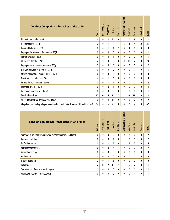| <b>Conduct Complaints - breaches of the code</b>                                           | <b>Bathurst</b> | <b>BNPP Regional</b> | Edmundston     | Fredericton  | <b>Grand Falls</b>      | Kennebecasis Regional | <b>Miramichi</b> | Saint John   | Woodstock | <b>TOTAL</b>   |
|--------------------------------------------------------------------------------------------|-----------------|----------------------|----------------|--------------|-------------------------|-----------------------|------------------|--------------|-----------|----------------|
| Discreditable conduct $-35(a)$                                                             | 4               | 0                    | $\overline{2}$ | 26           | $\mathbf{0}$            | 1                     | 0                | 8            | 0         | 41             |
| Neglect of duty $-35(b)$                                                                   | 2               | 0                    | 1              | 6            | 1                       | 6                     | 1                | 4            | 0         | 21             |
| Deceitful behaviour $-35(c)$                                                               | 0               | 0                    | 1              | 4            | 1                       | $\mathbf{0}$          | 1                | 1            | 0         | 8              |
| Improper disclosure of information $-35(d)$                                                | 0               | 0                    | $\mathbf{0}$   | $\mathbf{0}$ | $\mathbf{0}$            | $\mathbf{0}$          | $\mathbf{0}$     | 1            | 0         | 1              |
| Corrupt practice - 35(e)                                                                   | 0               | 0                    | 0              | $\mathbf{1}$ | 0                       | $\mathbf{0}$          | 0                | $\mathbf{0}$ | 0         | 1              |
| Abuse of authority $-35(f)$                                                                | 2               | 0                    | $\mathbf{0}$   | 9            | 0                       | $\mathbf{0}$          | 10               | 2            | 0         | 23             |
| Improper use and care of firearms $-35(q)$                                                 | $\overline{2}$  | 0                    | 0              | 0            | 0                       | $\mathbf{0}$          | 0                | $\mathbf{0}$ | 0         | $\overline{2}$ |
| Damage police force property $-35(h)$                                                      | 0               | 0                    | 0              | $\mathbf{0}$ | $\mathbf{0}$            | $\mathbf{0}$          | $\mathbf{0}$     | 1            | 0         | 1              |
| Misuse intoxicating liquor or drugs $-35(i)$                                               | 0               | 0                    | 0              | 0            | 0                       | $\mathbf{0}$          | 0                | 0            | 0         | 0              |
| Convicted of an offence $-35(j)$                                                           | 2               | 0                    | 1              | 6            | 0                       | $\mathbf{0}$          | 0                | $\Omega$     | 0         | 9              |
| Insubordinate behaviour $-35(k)$                                                           | 0               | 0                    | 1              | 1            | $\mathbf{0}$            | 0                     | $\mathbf{0}$     | 0            | 0         | $\overline{2}$ |
| Party to a breach - 35(I)                                                                  | 0               | 0                    | 0              | 1            | $\mathbf{0}$            | $\mathbf{0}$          | $\mathbf{0}$     | 2            | 0         | 3              |
| Workplace harassment $-35(m)$                                                              | 0               | 0                    | $\mathbf{0}$   | 0            | 0                       | 1                     | $\mathbf{0}$     | 0            | 0         | 1              |
| <b>Total allegations</b>                                                                   | 12              | 0                    | 6              | 54           | $\overline{\mathbf{c}}$ | 8                     | 12               | 19           | 0         | 113            |
| Allegations deemed frivolous/vexatious*                                                    | 0               | 0                    | 0              | 14           | 0                       | 0                     | 5                | $\Omega$     | 0         | 19             |
| Allegations outstanding (alleged breaches of code determined; however, file not finalized) | 12              | 0                    | 6              | 20           | $\mathbf{0}$            | $\mathbf{0}$          | $\overline{2}$   | 7            | 0         | 47             |

| <b>Conduct Complaints - final disposition of files</b>         | <b>Bathurst</b> | <b>BNPP Regional</b> | Edmundston     | Fredericton | Grand Falls | Kennebecasis Regional | Miramichi | Saint John     | Woodstock    | <b>TOTAL</b>   |
|----------------------------------------------------------------|-----------------|----------------------|----------------|-------------|-------------|-----------------------|-----------|----------------|--------------|----------------|
| Summary dismissal (frivolous/vexatious/not made in good faith) | 0               | 0                    | 0              | 5           | 0           | 0                     | 2         | 0              | 0            | 7              |
| Informal resolution                                            | 0               | 0                    | 0              | 1           | 0           |                       | 0         | $\mathbf{0}$   | $\mathbf{0}$ | $\overline{2}$ |
| No further action                                              | 0               | 0                    | 1              | 3           | 0           | 4                     | 4         | 3              | 0            | 15             |
| Settlement conference                                          | 0               | 0                    | 0              | 4           | 1           | 0                     | 0         | $\overline{2}$ | 0            | 7              |
| Arbitration hearing                                            | 0               | 0                    | 0              | 0           | 0           | 0                     | 0         | $\mathbf{0}$   | $\theta$     | 0              |
| Withdrawn                                                      | 0               | 0                    | 0              | 0           | 0           | 0                     | 0         | $\mathbf{0}$   | 0            | 0              |
| Files outstanding                                              | 2               | 0                    | 1              | 5           | 0           | 0                     | 0         | 2              | 0            | 10             |
| <b>Total files</b>                                             | 2               | 0                    | $\overline{2}$ | 18          | 1           | 5                     | 6         | 7              | $\bf{0}$     | 41             |
| Settlement conference – previous year                          | 1               | 0                    | 0              | 0           | 0           | 0                     | 0         |                | $\mathbf{0}$ | 2              |
| Arbitration hearing - previous year                            | 0               | 0                    | 0              | 2           | 0           | 0                     | 0         |                | 0            | 3              |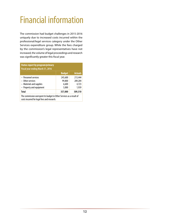### <span id="page-14-0"></span>Financial information

The commission had budget challenges in 2015-2016 uniquely due to increased costs incurred within the professional/legal services category under the Other Services expenditure group. While the fees charged by the commission's legal representatives have not increased, the volume of legal proceedings and research was significantly greater this fiscal year.

| <b>Status report by program/primary</b><br>Fiscal year ending March 31, 2016 |               |                |
|------------------------------------------------------------------------------|---------------|----------------|
|                                                                              | <b>Budget</b> | <b>Actuals</b> |
| - Personnel services                                                         | 245,600       | 213,444        |
| - Other services                                                             | 99,800        | 289,204        |
| - Materials and supplies                                                     | 6,600         | 4,723          |
| - Property and equipment                                                     | 5,000         | 1,939          |
| <b>Total</b>                                                                 | 357,000       | 509,310        |
| The commission overspent its budget in Other Services as a result of         |               |                |

costs incurred for legal fees and research.